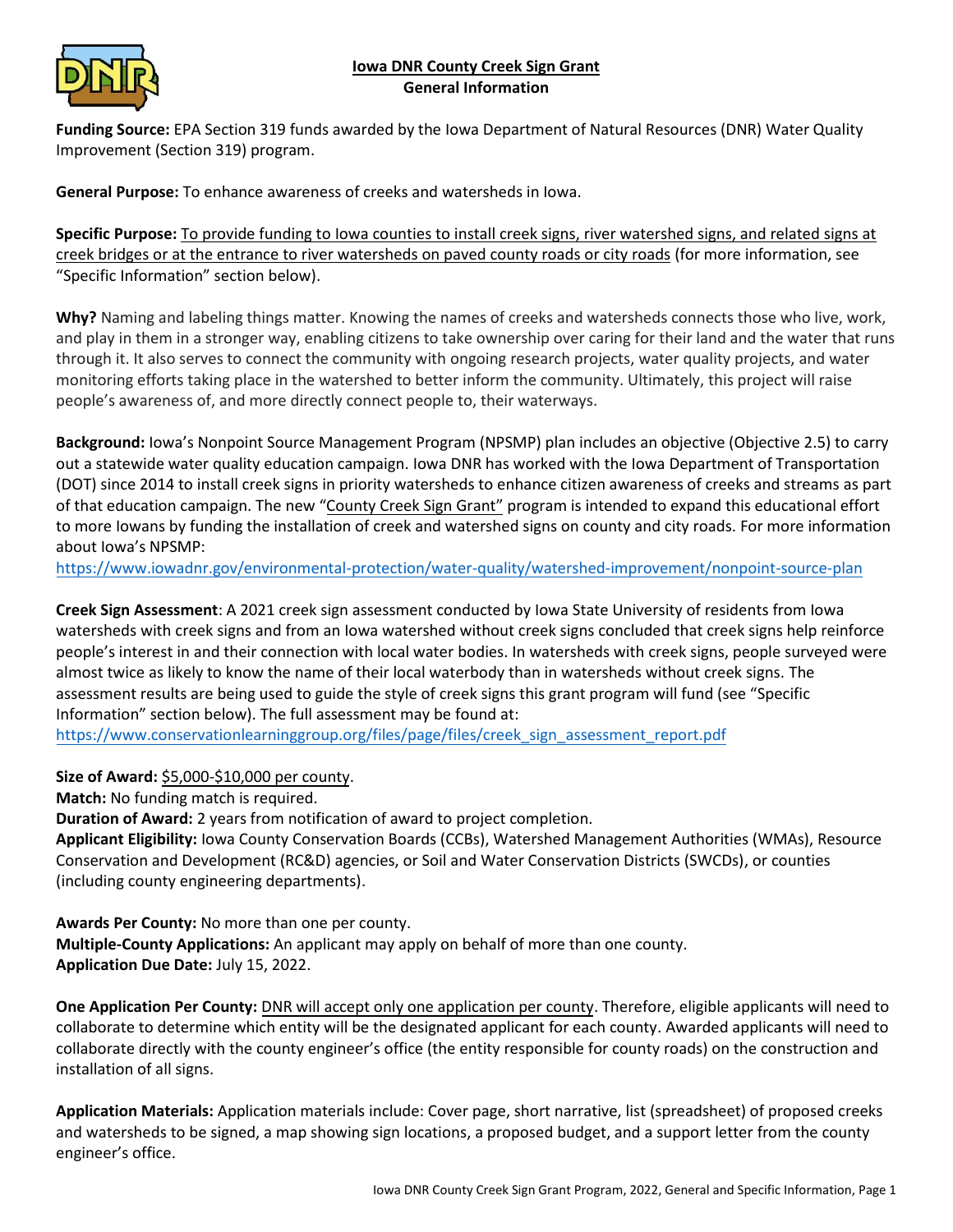## **Iowa DNR County Creek Sign Grant General Information**



**Funding Source:** EPA Section 319 funds awarded by the Iowa Department of Natural Resources (DNR) Water Quality Improvement (Section 319) program.

**General Purpose:** To enhance awareness of creeks and watersheds in Iowa.

**Specific Purpose:** To provide funding to Iowa counties to install creek signs, river watershed signs, and related signs at creek bridges or at the entrance to river watersheds on paved county roads or city roads (for more information, see "Specific Information" section below).

**Why?** Naming and labeling things matter. Knowing the names of creeks and watersheds connects those who live, work, and play in them in a stronger way, enabling citizens to take ownership over caring for their land and the water that runs through it. It also serves to connect the community with ongoing research projects, water quality projects, and water monitoring efforts taking place in the watershed to better inform the community. Ultimately, this project will raise people's awareness of, and more directly connect people to, their waterways.

**Background:** Iowa's Nonpoint Source Management Program (NPSMP) plan includes an objective (Objective 2.5) to carry out a statewide water quality education campaign. Iowa DNR has worked with the Iowa Department of Transportation (DOT) since 2014 to install creek signs in priority watersheds to enhance citizen awareness of creeks and streams as part of that education campaign. The new "County Creek Sign Grant" program is intended to expand this educational effort to more Iowans by funding the installation of creek and watershed signs on county and city roads. For more information about Iowa's NPSMP:

<https://www.iowadnr.gov/environmental-protection/water-quality/watershed-improvement/nonpoint-source-plan>

**Creek Sign Assessment**: A 2021 creek sign assessment conducted by Iowa State University of residents from Iowa watersheds with creek signs and from an Iowa watershed without creek signs concluded that creek signs help reinforce people's interest in and their connection with local water bodies. In watersheds with creek signs, people surveyed were almost twice as likely to know the name of their local waterbody than in watersheds without creek signs. The assessment results are being used to guide the style of creek signs this grant program will fund (see "Specific Information" section below). The full assessment may be found at:

[https://www.conservationlearninggroup.org/files/page/files/creek\\_sign\\_assessment\\_report.pdf](https://www.conservationlearninggroup.org/files/page/files/creek_sign_assessment_report.pdf)

**Size of Award:** \$5,000-\$10,000 per county.

**Match:** No funding match is required.

**Duration of Award:** 2 years from notification of award to project completion.

**Applicant Eligibility:** Iowa County Conservation Boards (CCBs), Watershed Management Authorities (WMAs), Resource Conservation and Development (RC&D) agencies, or Soil and Water Conservation Districts (SWCDs), or counties (including county engineering departments).

**Awards Per County:** No more than one per county.

**Multiple-County Applications:** An applicant may apply on behalf of more than one county. **Application Due Date:** July 15, 2022.

**One Application Per County:** DNR will accept only one application per county. Therefore, eligible applicants will need to collaborate to determine which entity will be the designated applicant for each county. Awarded applicants will need to collaborate directly with the county engineer's office (the entity responsible for county roads) on the construction and installation of all signs.

**Application Materials:** Application materials include: Cover page, short narrative, list (spreadsheet) of proposed creeks and watersheds to be signed, a map showing sign locations, a proposed budget, and a support letter from the county engineer's office.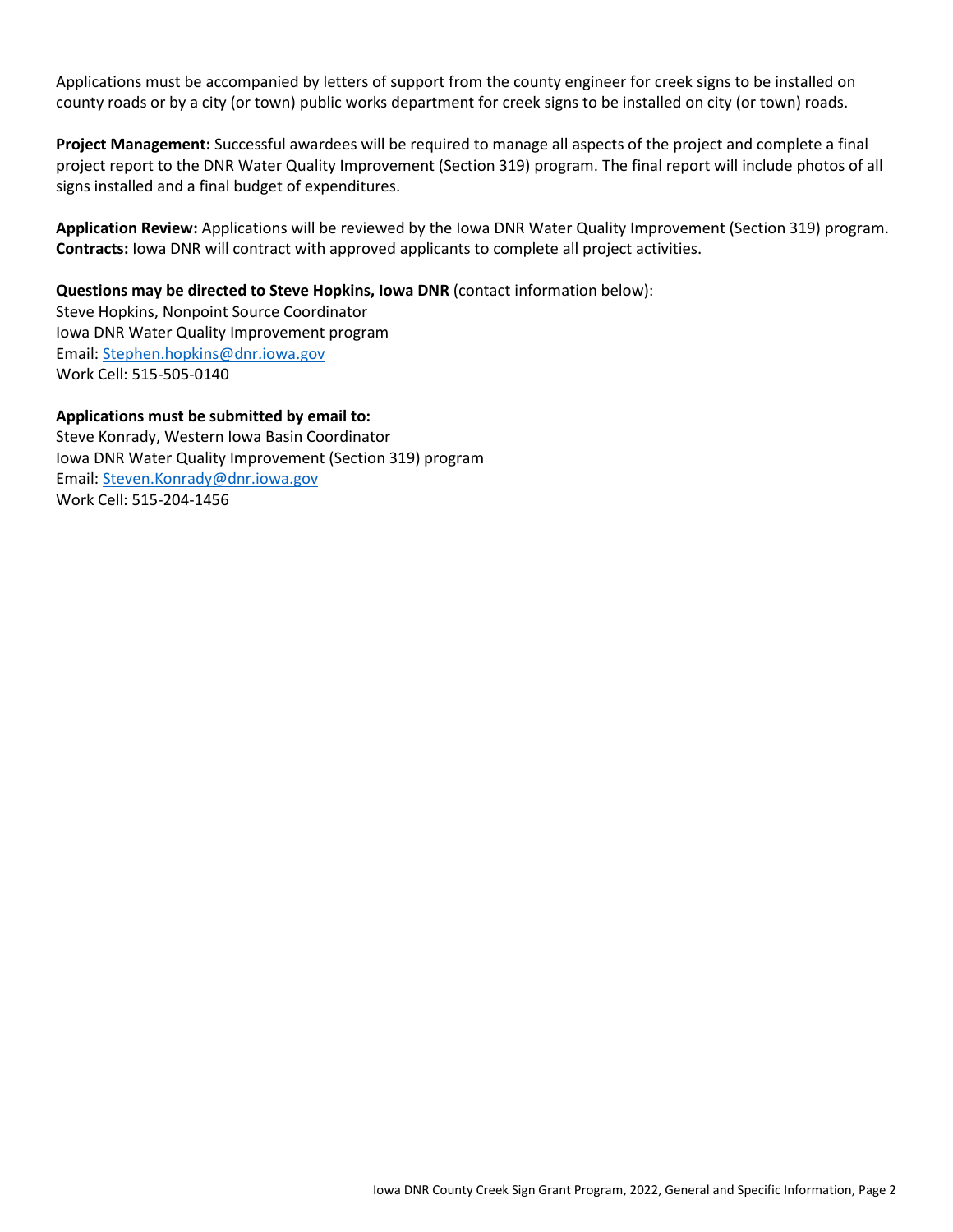Applications must be accompanied by letters of support from the county engineer for creek signs to be installed on county roads or by a city (or town) public works department for creek signs to be installed on city (or town) roads.

**Project Management:** Successful awardees will be required to manage all aspects of the project and complete a final project report to the DNR Water Quality Improvement (Section 319) program. The final report will include photos of all signs installed and a final budget of expenditures.

**Application Review:** Applications will be reviewed by the Iowa DNR Water Quality Improvement (Section 319) program. **Contracts:** Iowa DNR will contract with approved applicants to complete all project activities.

**Questions may be directed to Steve Hopkins, Iowa DNR** (contact information below): Steve Hopkins, Nonpoint Source Coordinator Iowa DNR Water Quality Improvement program Email: [Stephen.hopkins@dnr.iowa.gov](mailto:Stephen.hopkins@dnr.iowa.gov)

Work Cell: 515-505-0140

## **Applications must be submitted by email to:**

Steve Konrady, Western Iowa Basin Coordinator Iowa DNR Water Quality Improvement (Section 319) program Email: [Steven.Konrady@dnr.iowa.gov](mailto:Steven.Konrady@dnr.iowa.gov) Work Cell: 515-204-1456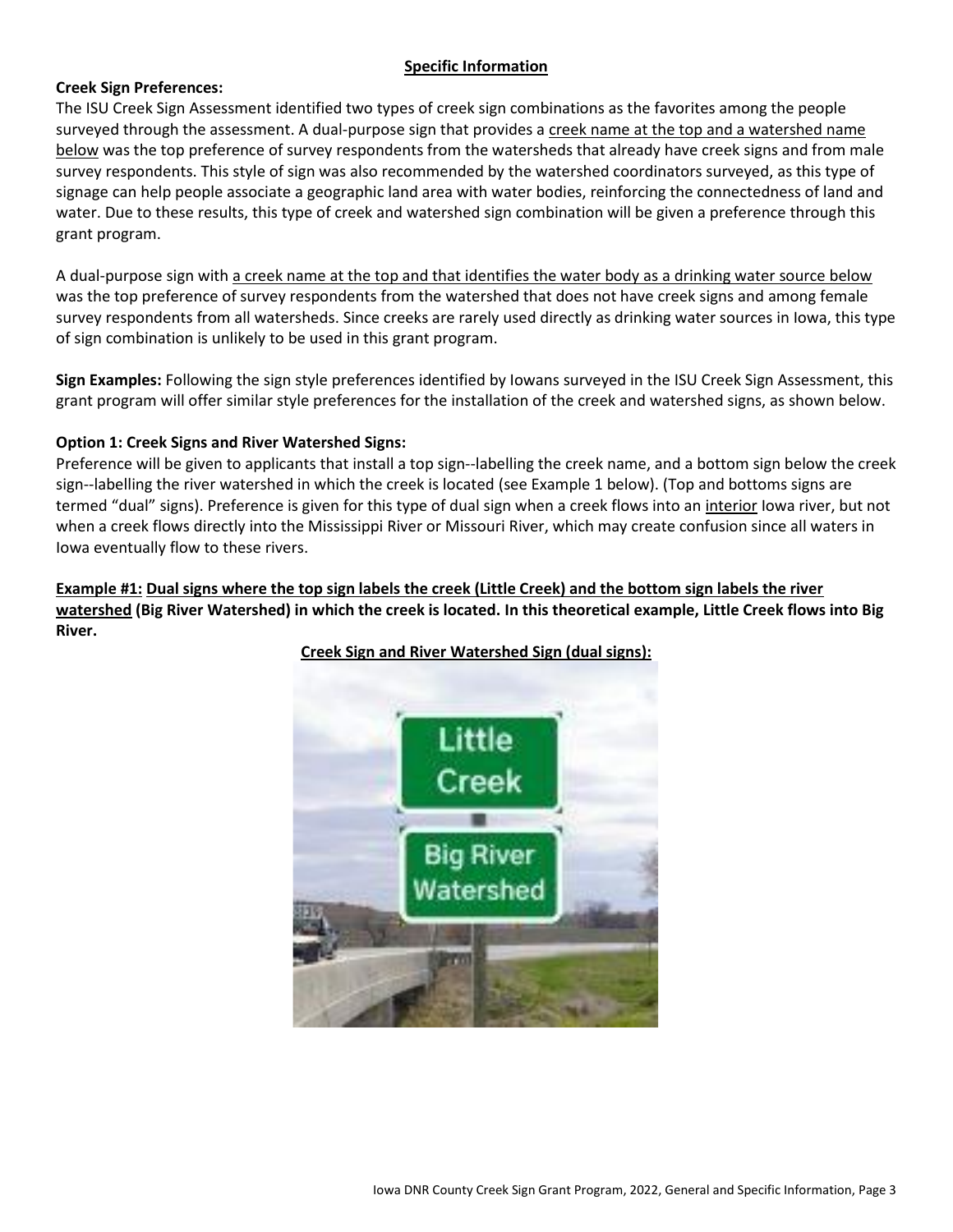## **Specific Information**

#### **Creek Sign Preferences:**

The ISU Creek Sign Assessment identified two types of creek sign combinations as the favorites among the people surveyed through the assessment. A dual-purpose sign that provides a creek name at the top and a watershed name below was the top preference of survey respondents from the watersheds that already have creek signs and from male survey respondents. This style of sign was also recommended by the watershed coordinators surveyed, as this type of signage can help people associate a geographic land area with water bodies, reinforcing the connectedness of land and water. Due to these results, this type of creek and watershed sign combination will be given a preference through this grant program.

A dual-purpose sign with a creek name at the top and that identifies the water body as a drinking water source below was the top preference of survey respondents from the watershed that does not have creek signs and among female survey respondents from all watersheds. Since creeks are rarely used directly as drinking water sources in Iowa, this type of sign combination is unlikely to be used in this grant program.

**Sign Examples:** Following the sign style preferences identified by Iowans surveyed in the ISU Creek Sign Assessment, this grant program will offer similar style preferences for the installation of the creek and watershed signs, as shown below.

#### **Option 1: Creek Signs and River Watershed Signs:**

Preference will be given to applicants that install a top sign--labelling the creek name, and a bottom sign below the creek sign--labelling the river watershed in which the creek is located (see Example 1 below). (Top and bottoms signs are termed "dual" signs). Preference is given for this type of dual sign when a creek flows into an interior lowa river, but not when a creek flows directly into the Mississippi River or Missouri River, which may create confusion since all waters in Iowa eventually flow to these rivers.

### **Example #1: Dual signs where the top sign labels the creek (Little Creek) and the bottom sign labels the river watershed (Big River Watershed) in which the creek is located. In this theoretical example, Little Creek flows into Big River.**



**Creek Sign and River Watershed Sign (dual signs):**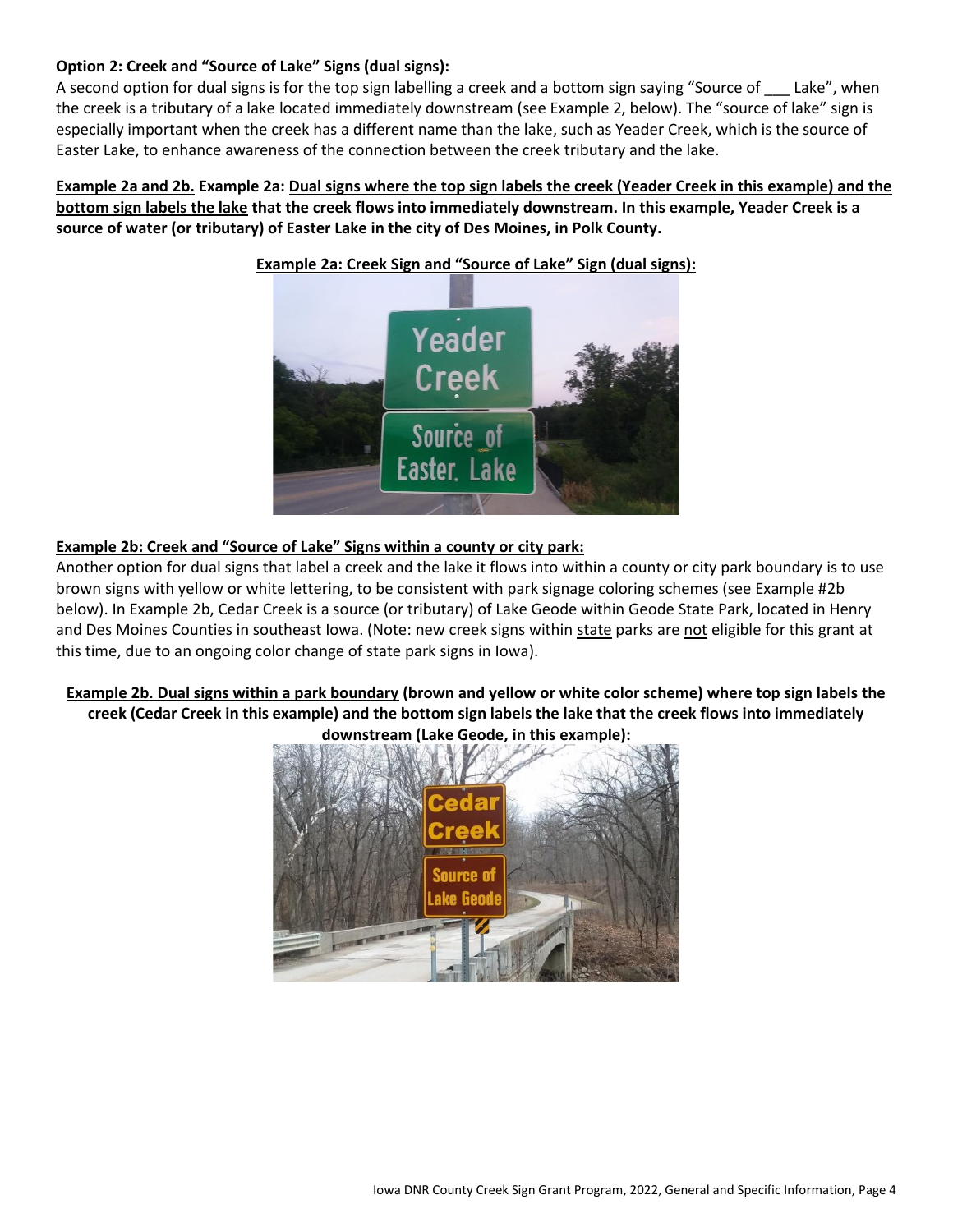# **Option 2: Creek and "Source of Lake" Signs (dual signs):**

A second option for dual signs is for the top sign labelling a creek and a bottom sign saying "Source of \_\_\_ Lake", when the creek is a tributary of a lake located immediately downstream (see Example 2, below). The "source of lake" sign is especially important when the creek has a different name than the lake, such as Yeader Creek, which is the source of Easter Lake, to enhance awareness of the connection between the creek tributary and the lake.

**Example 2a and 2b. Example 2a: Dual signs where the top sign labels the creek (Yeader Creek in this example) and the bottom sign labels the lake that the creek flows into immediately downstream. In this example, Yeader Creek is a source of water (or tributary) of Easter Lake in the city of Des Moines, in Polk County.**



## **Example 2a: Creek Sign and "Source of Lake" Sign (dual signs):**

#### **Example 2b: Creek and "Source of Lake" Signs within a county or city park:**

Another option for dual signs that label a creek and the lake it flows into within a county or city park boundary is to use brown signs with yellow or white lettering, to be consistent with park signage coloring schemes (see Example #2b below). In Example 2b, Cedar Creek is a source (or tributary) of Lake Geode within Geode State Park, located in Henry and Des Moines Counties in southeast Iowa. (Note: new creek signs within state parks are not eligible for this grant at this time, due to an ongoing color change of state park signs in Iowa).

**Example 2b. Dual signs within a park boundary (brown and yellow or white color scheme) where top sign labels the creek (Cedar Creek in this example) and the bottom sign labels the lake that the creek flows into immediately downstream (Lake Geode, in this example):**

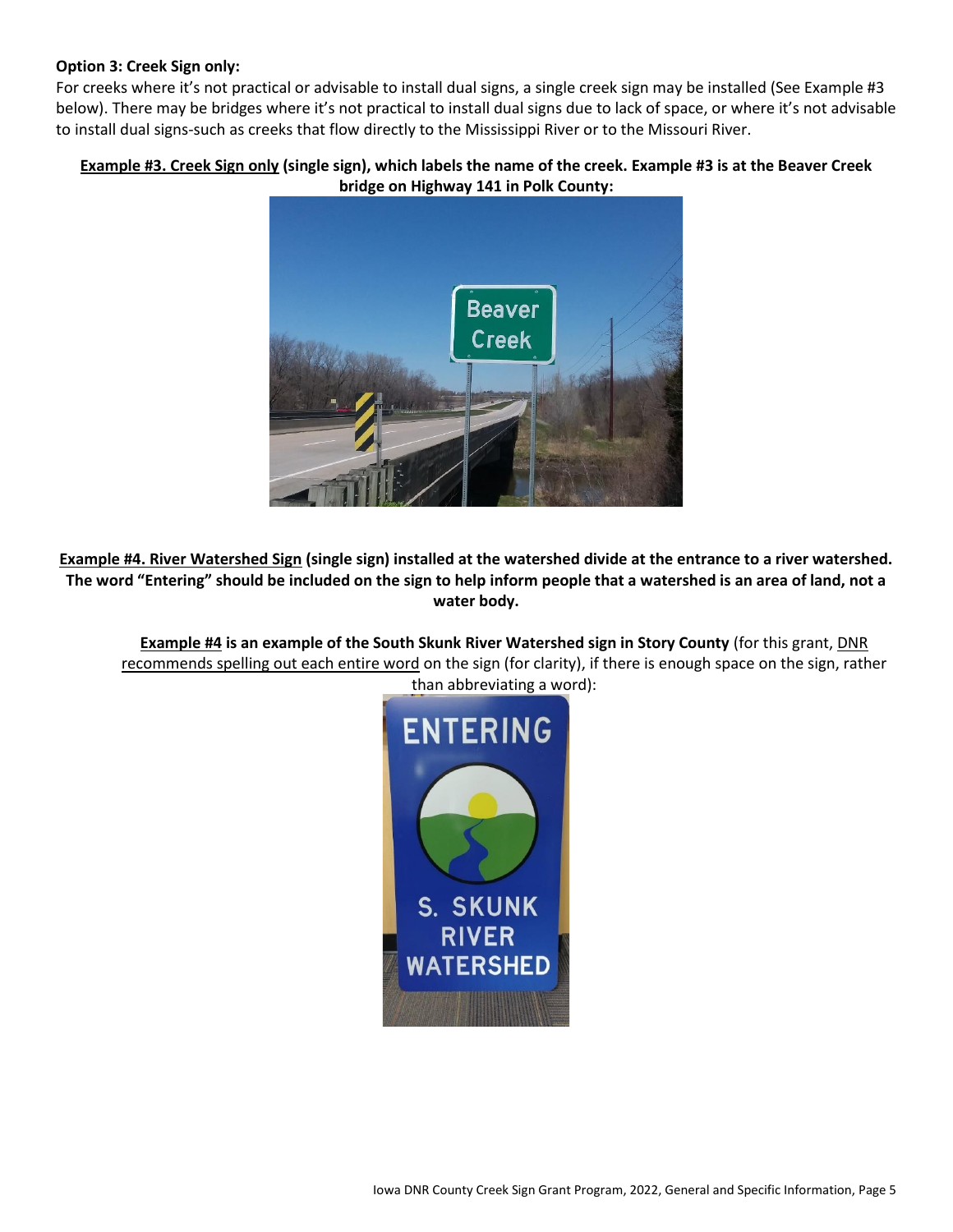### **Option 3: Creek Sign only:**

For creeks where it's not practical or advisable to install dual signs, a single creek sign may be installed (See Example #3 below). There may be bridges where it's not practical to install dual signs due to lack of space, or where it's not advisable to install dual signs-such as creeks that flow directly to the Mississippi River or to the Missouri River.

# **Example #3. Creek Sign only (single sign), which labels the name of the creek. Example #3 is at the Beaver Creek bridge on Highway 141 in Polk County:**



**Example #4. River Watershed Sign (single sign) installed at the watershed divide at the entrance to a river watershed. The word "Entering" should be included on the sign to help inform people that a watershed is an area of land, not a water body.**

**Example #4 is an example of the South Skunk River Watershed sign in Story County** (for this grant, DNR recommends spelling out each entire word on the sign (for clarity), if there is enough space on the sign, rather than abbreviating a word):

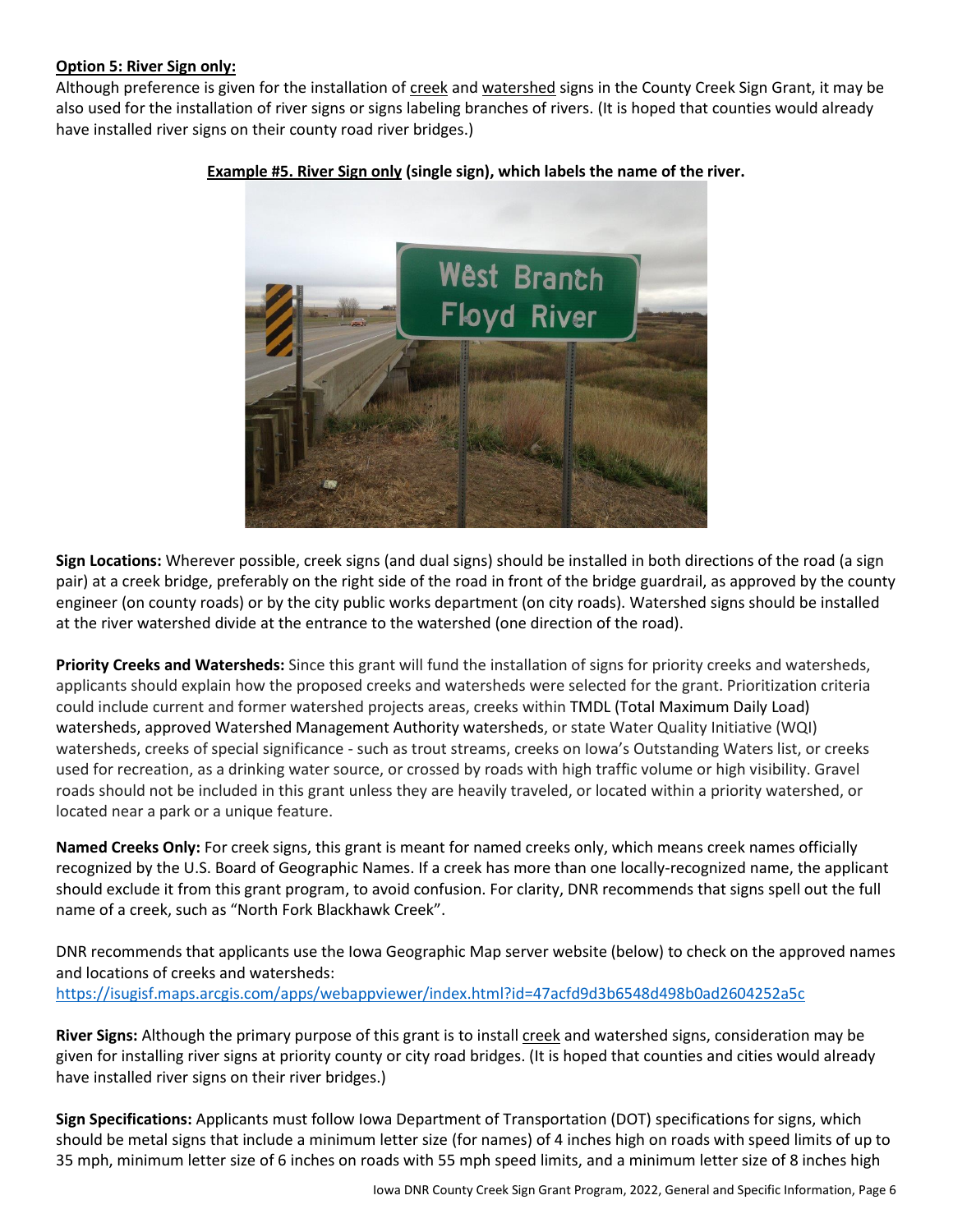#### **Option 5: River Sign only:**

Although preference is given for the installation of creek and watershed signs in the County Creek Sign Grant, it may be also used for the installation of river signs or signs labeling branches of rivers. (It is hoped that counties would already have installed river signs on their county road river bridges.)



## **Example #5. River Sign only (single sign), which labels the name of the river.**

**Sign Locations:** Wherever possible, creek signs (and dual signs) should be installed in both directions of the road (a sign pair) at a creek bridge, preferably on the right side of the road in front of the bridge guardrail, as approved by the county engineer (on county roads) or by the city public works department (on city roads). Watershed signs should be installed at the river watershed divide at the entrance to the watershed (one direction of the road).

**Priority Creeks and Watersheds:** Since this grant will fund the installation of signs for priority creeks and watersheds, applicants should explain how the proposed creeks and watersheds were selected for the grant. Prioritization criteria could include current and former watershed projects areas, creeks within TMDL (Total Maximum Daily Load) watersheds, approved Watershed Management Authority watersheds, or state Water Quality Initiative (WQI) watersheds, creeks of special significance - such as trout streams, creeks on Iowa's Outstanding Waters list, or creeks used for recreation, as a drinking water source, or crossed by roads with high traffic volume or high visibility. Gravel roads should not be included in this grant unless they are heavily traveled, or located within a priority watershed, or located near a park or a unique feature.

**Named Creeks Only:** For creek signs, this grant is meant for named creeks only, which means creek names officially recognized by the U.S. Board of Geographic Names. If a creek has more than one locally-recognized name, the applicant should exclude it from this grant program, to avoid confusion. For clarity, DNR recommends that signs spell out the full name of a creek, such as "North Fork Blackhawk Creek".

DNR recommends that applicants use the Iowa Geographic Map server website (below) to check on the approved names and locations of creeks and watersheds: <https://isugisf.maps.arcgis.com/apps/webappviewer/index.html?id=47acfd9d3b6548d498b0ad2604252a5c>

River Signs: Although the primary purpose of this grant is to install creek and watershed signs, consideration may be given for installing river signs at priority county or city road bridges. (It is hoped that counties and cities would already have installed river signs on their river bridges.)

**Sign Specifications:** Applicants must follow Iowa Department of Transportation (DOT) specifications for signs, which should be metal signs that include a minimum letter size (for names) of 4 inches high on roads with speed limits of up to 35 mph, minimum letter size of 6 inches on roads with 55 mph speed limits, and a minimum letter size of 8 inches high